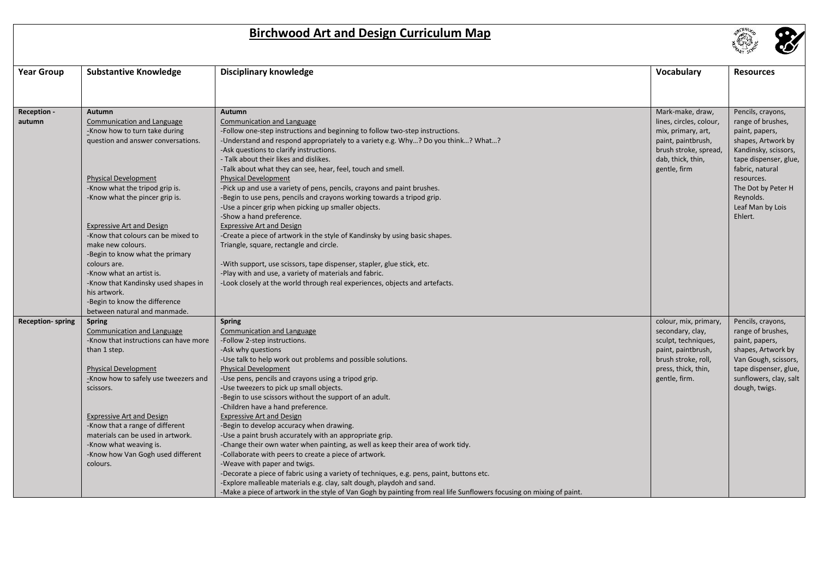## **Birchwood Art and Design Curriculum Map**



| <b>Year Group</b>       | <b>Substantive Knowledge</b>          | <b>Disciplinary knowledge</b>                                                                                        | Vocabulary                                 | <b>Resources</b>                              |
|-------------------------|---------------------------------------|----------------------------------------------------------------------------------------------------------------------|--------------------------------------------|-----------------------------------------------|
|                         |                                       |                                                                                                                      |                                            |                                               |
|                         |                                       |                                                                                                                      |                                            |                                               |
| Reception -             | Autumn                                | Autumn                                                                                                               | Mark-make, draw,                           | Pencils, crayons,                             |
| autumn                  | <b>Communication and Language</b>     | <b>Communication and Language</b>                                                                                    | lines, circles, colour,                    | range of brushes,                             |
|                         | -Know how to turn take during         | -Follow one-step instructions and beginning to follow two-step instructions.                                         | mix, primary, art,                         | paint, papers,                                |
|                         | question and answer conversations.    | -Understand and respond appropriately to a variety e.g. Why? Do you think? What?                                     | paint, paintbrush,                         | shapes, Artwork by                            |
|                         |                                       | -Ask questions to clarify instructions.                                                                              | brush stroke, spread,                      | Kandinsky, scissors,                          |
|                         |                                       | - Talk about their likes and dislikes.                                                                               | dab, thick, thin,<br>gentle, firm          | tape dispenser, glue,<br>fabric, natural      |
|                         | <b>Physical Development</b>           | -Talk about what they can see, hear, feel, touch and smell.<br><b>Physical Development</b>                           |                                            | resources.                                    |
|                         | -Know what the tripod grip is.        | -Pick up and use a variety of pens, pencils, crayons and paint brushes.                                              |                                            | The Dot by Peter H                            |
|                         | -Know what the pincer grip is.        | -Begin to use pens, pencils and crayons working towards a tripod grip.                                               |                                            | Reynolds.                                     |
|                         |                                       | -Use a pincer grip when picking up smaller objects.                                                                  |                                            | Leaf Man by Lois                              |
|                         |                                       | -Show a hand preference.                                                                                             |                                            | Ehlert.                                       |
|                         | <b>Expressive Art and Design</b>      | <b>Expressive Art and Design</b>                                                                                     |                                            |                                               |
|                         | -Know that colours can be mixed to    | -Create a piece of artwork in the style of Kandinsky by using basic shapes.                                          |                                            |                                               |
|                         | make new colours.                     | Triangle, square, rectangle and circle.                                                                              |                                            |                                               |
|                         | -Begin to know what the primary       |                                                                                                                      |                                            |                                               |
|                         | colours are.                          | -With support, use scissors, tape dispenser, stapler, glue stick, etc.                                               |                                            |                                               |
|                         | -Know what an artist is.              | -Play with and use, a variety of materials and fabric.                                                               |                                            |                                               |
|                         | -Know that Kandinsky used shapes in   | -Look closely at the world through real experiences, objects and artefacts.                                          |                                            |                                               |
|                         | his artwork.                          |                                                                                                                      |                                            |                                               |
|                         | -Begin to know the difference         |                                                                                                                      |                                            |                                               |
|                         | between natural and manmade.          |                                                                                                                      |                                            |                                               |
| <b>Reception-spring</b> | <b>Spring</b>                         | <b>Spring</b>                                                                                                        | colour, mix, primary,                      | Pencils, crayons,                             |
|                         | <b>Communication and Language</b>     | Communication and Language                                                                                           | secondary, clay,                           | range of brushes,                             |
|                         | -Know that instructions can have more | -Follow 2-step instructions.                                                                                         | sculpt, techniques,                        | paint, papers,                                |
|                         | than 1 step.                          | -Ask why questions                                                                                                   | paint, paintbrush,                         | shapes, Artwork by                            |
|                         | <b>Physical Development</b>           | -Use talk to help work out problems and possible solutions.<br><b>Physical Development</b>                           | brush stroke, roll,<br>press, thick, thin, | Van Gough, scissors,<br>tape dispenser, glue, |
|                         | -Know how to safely use tweezers and  | -Use pens, pencils and crayons using a tripod grip.                                                                  | gentle, firm.                              | sunflowers, clay, salt                        |
|                         | scissors.                             | -Use tweezers to pick up small objects.                                                                              |                                            | dough, twigs.                                 |
|                         |                                       | -Begin to use scissors without the support of an adult.                                                              |                                            |                                               |
|                         |                                       | -Children have a hand preference.                                                                                    |                                            |                                               |
|                         | <b>Expressive Art and Design</b>      | <b>Expressive Art and Design</b>                                                                                     |                                            |                                               |
|                         | -Know that a range of different       | -Begin to develop accuracy when drawing.                                                                             |                                            |                                               |
|                         | materials can be used in artwork.     | -Use a paint brush accurately with an appropriate grip.                                                              |                                            |                                               |
|                         | -Know what weaving is.                | -Change their own water when painting, as well as keep their area of work tidy.                                      |                                            |                                               |
|                         | -Know how Van Gogh used different     | -Collaborate with peers to create a piece of artwork.                                                                |                                            |                                               |
|                         | colours.                              | -Weave with paper and twigs.                                                                                         |                                            |                                               |
|                         |                                       | -Decorate a piece of fabric using a variety of techniques, e.g. pens, paint, buttons etc.                            |                                            |                                               |
|                         |                                       | -Explore malleable materials e.g. clay, salt dough, playdoh and sand.                                                |                                            |                                               |
|                         |                                       | -Make a piece of artwork in the style of Van Gogh by painting from real life Sunflowers focusing on mixing of paint. |                                            |                                               |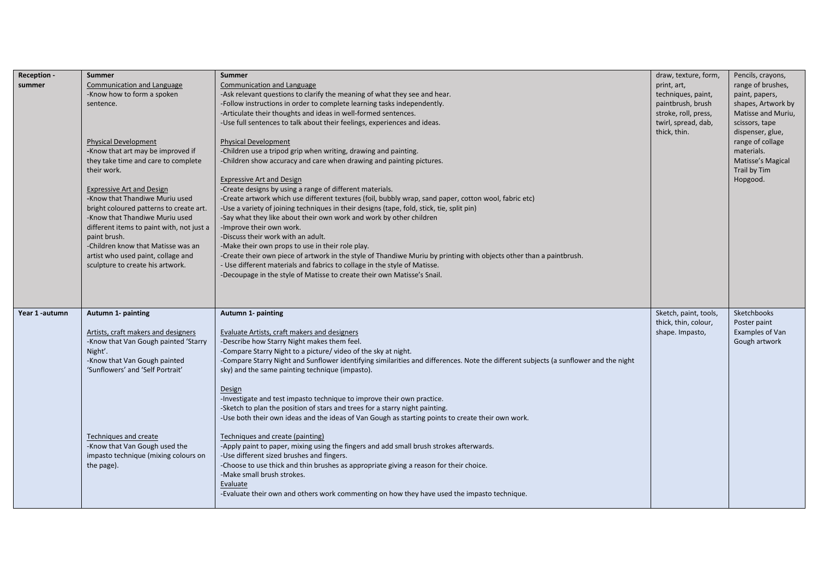| <b>Reception -</b><br>summer | Summer<br>Communication and Language<br>-Know how to form a spoken<br>sentence.<br><b>Physical Development</b><br>-Know that art may be improved if<br>they take time and care to complete<br>their work.<br><b>Expressive Art and Design</b><br>-Know that Thandiwe Muriu used<br>bright coloured patterns to create art.<br>-Know that Thandiwe Muriu used<br>different items to paint with, not just a<br>paint brush.<br>-Children know that Matisse was an<br>artist who used paint, collage and<br>sculpture to create his artwork. | Summer<br>Communication and Language<br>-Ask relevant questions to clarify the meaning of what they see and hear.<br>-Follow instructions in order to complete learning tasks independently.<br>-Articulate their thoughts and ideas in well-formed sentences.<br>-Use full sentences to talk about their feelings, experiences and ideas.<br><b>Physical Development</b><br>-Children use a tripod grip when writing, drawing and painting.<br>-Children show accuracy and care when drawing and painting pictures.<br><b>Expressive Art and Design</b><br>-Create designs by using a range of different materials.<br>-Create artwork which use different textures (foil, bubbly wrap, sand paper, cotton wool, fabric etc)<br>-Use a variety of joining techniques in their designs (tape, fold, stick, tie, split pin)<br>-Say what they like about their own work and work by other children<br>-Improve their own work.<br>-Discuss their work with an adult.<br>-Make their own props to use in their role play.<br>-Create their own piece of artwork in the style of Thandiwe Muriu by printing with objects other than a paintbrush.<br>- Use different materials and fabrics to collage in the style of Matisse.<br>-Decoupage in the style of Matisse to create their own Matisse's Snail. | draw, texture, form,<br>print, art,<br>techniques, paint,<br>paintbrush, brush<br>stroke, roll, press,<br>twirl, spread, dab,<br>thick, thin. | Pencils, crayons,<br>range of brushes,<br>paint, papers,<br>shapes, Artwork by<br>Matisse and Muriu,<br>scissors, tape<br>dispenser, glue,<br>range of collage<br>materials.<br>Matisse's Magical<br>Trail by Tim<br>Hopgood. |
|------------------------------|-------------------------------------------------------------------------------------------------------------------------------------------------------------------------------------------------------------------------------------------------------------------------------------------------------------------------------------------------------------------------------------------------------------------------------------------------------------------------------------------------------------------------------------------|--------------------------------------------------------------------------------------------------------------------------------------------------------------------------------------------------------------------------------------------------------------------------------------------------------------------------------------------------------------------------------------------------------------------------------------------------------------------------------------------------------------------------------------------------------------------------------------------------------------------------------------------------------------------------------------------------------------------------------------------------------------------------------------------------------------------------------------------------------------------------------------------------------------------------------------------------------------------------------------------------------------------------------------------------------------------------------------------------------------------------------------------------------------------------------------------------------------------------------------------------------------------------------------------------------|-----------------------------------------------------------------------------------------------------------------------------------------------|-------------------------------------------------------------------------------------------------------------------------------------------------------------------------------------------------------------------------------|
| Year 1-autumn                | Autumn 1- painting<br>Artists, craft makers and designers<br>-Know that Van Gough painted 'Starry<br>Night'.<br>-Know that Van Gough painted<br>'Sunflowers' and 'Self Portrait'<br>Techniques and create<br>-Know that Van Gough used the<br>impasto technique (mixing colours on<br>the page).                                                                                                                                                                                                                                          | Autumn 1- painting<br>Evaluate Artists, craft makers and designers<br>-Describe how Starry Night makes them feel.<br>-Compare Starry Night to a picture/video of the sky at night.<br>-Compare Starry Night and Sunflower identifying similarities and differences. Note the different subjects (a sunflower and the night<br>sky) and the same painting technique (impasto).<br>Design<br>-Investigate and test impasto technique to improve their own practice.<br>-Sketch to plan the position of stars and trees for a starry night painting.<br>-Use both their own ideas and the ideas of Van Gough as starting points to create their own work.<br>Techniques and create (painting)<br>-Apply paint to paper, mixing using the fingers and add small brush strokes afterwards.<br>-Use different sized brushes and fingers.<br>-Choose to use thick and thin brushes as appropriate giving a reason for their choice.<br>-Make small brush strokes.<br>Evaluate<br>-Evaluate their own and others work commenting on how they have used the impasto technique.                                                                                                                                                                                                                                  | Sketch, paint, tools,<br>thick, thin, colour,<br>shape. Impasto,                                                                              | Sketchbooks<br>Poster paint<br>Examples of Van<br>Gough artwork                                                                                                                                                               |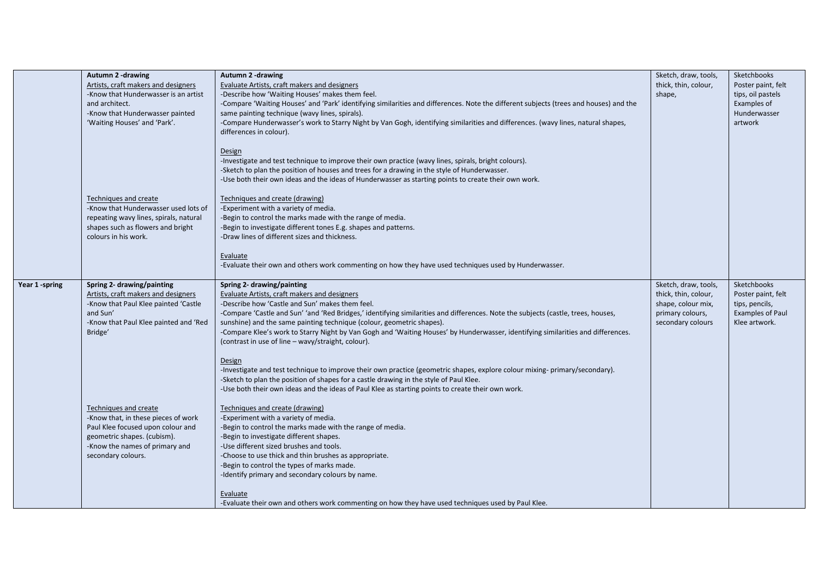|                | Autumn 2 -drawing<br>Artists, craft makers and designers<br>-Know that Hunderwasser is an artist<br>and architect.<br>-Know that Hunderwasser painted<br>'Waiting Houses' and 'Park'.    | Autumn 2-drawing<br>Evaluate Artists, craft makers and designers<br>-Describe how 'Waiting Houses' makes them feel.<br>-Compare 'Waiting Houses' and 'Park' identifying similarities and differences. Note the different subjects (trees and houses) and the<br>same painting technique (wavy lines, spirals).<br>-Compare Hunderwasser's work to Starry Night by Van Gogh, identifying similarities and differences. (wavy lines, natural shapes,<br>differences in colour).                                                         | Sketch, draw, tools,<br>thick, thin, colour,<br>shape,                                                      | Sketchbooks<br>Poster paint, felt<br>tips, oil pastels<br>Examples of<br>Hunderwasser<br>artwork |
|----------------|------------------------------------------------------------------------------------------------------------------------------------------------------------------------------------------|---------------------------------------------------------------------------------------------------------------------------------------------------------------------------------------------------------------------------------------------------------------------------------------------------------------------------------------------------------------------------------------------------------------------------------------------------------------------------------------------------------------------------------------|-------------------------------------------------------------------------------------------------------------|--------------------------------------------------------------------------------------------------|
|                | Techniques and create                                                                                                                                                                    | Design<br>-Investigate and test technique to improve their own practice (wavy lines, spirals, bright colours).<br>-Sketch to plan the position of houses and trees for a drawing in the style of Hunderwasser.<br>-Use both their own ideas and the ideas of Hunderwasser as starting points to create their own work.<br>Techniques and create (drawing)                                                                                                                                                                             |                                                                                                             |                                                                                                  |
|                | -Know that Hunderwasser used lots of<br>repeating wavy lines, spirals, natural<br>shapes such as flowers and bright<br>colours in his work.                                              | -Experiment with a variety of media.<br>-Begin to control the marks made with the range of media.<br>-Begin to investigate different tones E.g. shapes and patterns.<br>-Draw lines of different sizes and thickness.<br>Evaluate<br>-Evaluate their own and others work commenting on how they have used techniques used by Hunderwasser.                                                                                                                                                                                            |                                                                                                             |                                                                                                  |
| Year 1 -spring | Spring 2- drawing/painting<br>Artists, craft makers and designers<br>-Know that Paul Klee painted 'Castle<br>and Sun'<br>-Know that Paul Klee painted and 'Red<br>Bridge'                | Spring 2- drawing/painting<br>Evaluate Artists, craft makers and designers<br>-Describe how 'Castle and Sun' makes them feel.<br>-Compare 'Castle and Sun' 'and 'Red Bridges,' identifying similarities and differences. Note the subjects (castle, trees, houses,<br>sunshine) and the same painting technique (colour, geometric shapes).<br>-Compare Klee's work to Starry Night by Van Gogh and 'Waiting Houses' by Hunderwasser, identifying similarities and differences.<br>(contrast in use of line – wavy/straight, colour). | Sketch, draw, tools,<br>thick, thin, colour,<br>shape, colour mix,<br>primary colours,<br>secondary colours | Sketchbooks<br>Poster paint, felt<br>tips, pencils,<br>Examples of Paul<br>Klee artwork.         |
|                |                                                                                                                                                                                          | Design<br>-Investigate and test technique to improve their own practice (geometric shapes, explore colour mixing- primary/secondary).<br>-Sketch to plan the position of shapes for a castle drawing in the style of Paul Klee.<br>-Use both their own ideas and the ideas of Paul Klee as starting points to create their own work.                                                                                                                                                                                                  |                                                                                                             |                                                                                                  |
|                | Techniques and create<br>-Know that, in these pieces of work<br>Paul Klee focused upon colour and<br>geometric shapes. (cubism).<br>-Know the names of primary and<br>secondary colours. | Techniques and create (drawing)<br>-Experiment with a variety of media.<br>-Begin to control the marks made with the range of media.<br>-Begin to investigate different shapes.<br>-Use different sized brushes and tools.<br>-Choose to use thick and thin brushes as appropriate.<br>-Begin to control the types of marks made.<br>-Identify primary and secondary colours by name.                                                                                                                                                 |                                                                                                             |                                                                                                  |
|                |                                                                                                                                                                                          | Evaluate<br>-Evaluate their own and others work commenting on how they have used techniques used by Paul Klee.                                                                                                                                                                                                                                                                                                                                                                                                                        |                                                                                                             |                                                                                                  |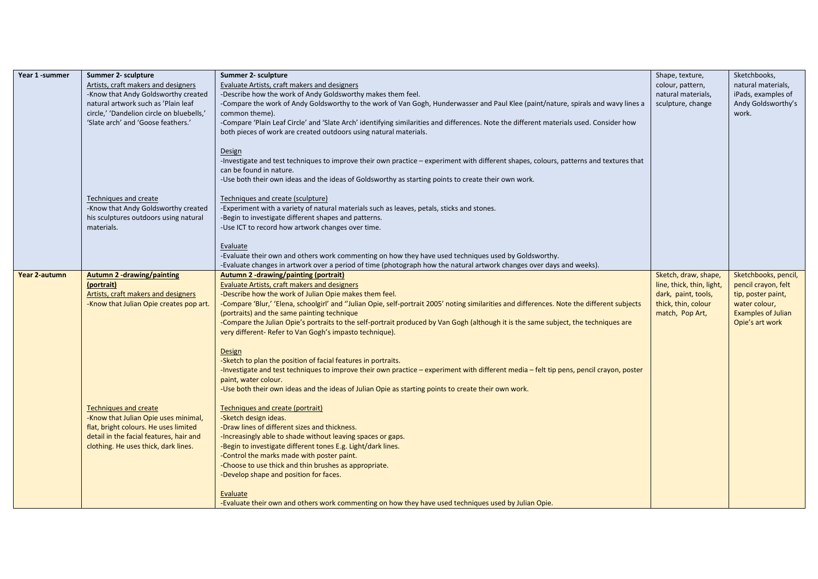| Year 1-summer | Summer 2- sculpture                       | Summer 2- sculpture                                                                                                                         | Shape, texture,           | Sketchbooks,              |
|---------------|-------------------------------------------|---------------------------------------------------------------------------------------------------------------------------------------------|---------------------------|---------------------------|
|               | Artists, craft makers and designers       | Evaluate Artists, craft makers and designers                                                                                                | colour, pattern,          | natural materials,        |
|               | -Know that Andy Goldsworthy created       | -Describe how the work of Andy Goldsworthy makes them feel.                                                                                 | natural materials,        | iPads, examples of        |
|               | natural artwork such as 'Plain leaf       | -Compare the work of Andy Goldsworthy to the work of Van Gogh, Hunderwasser and Paul Klee (paint/nature, spirals and wavy lines a           | sculpture, change         | Andy Goldsworthy's        |
|               | circle,' 'Dandelion circle on bluebells,' | common theme).                                                                                                                              |                           | work.                     |
|               | 'Slate arch' and 'Goose feathers.'        | -Compare 'Plain Leaf Circle' and 'Slate Arch' identifying similarities and differences. Note the different materials used. Consider how     |                           |                           |
|               |                                           | both pieces of work are created outdoors using natural materials.                                                                           |                           |                           |
|               |                                           |                                                                                                                                             |                           |                           |
|               |                                           | <b>Design</b>                                                                                                                               |                           |                           |
|               |                                           | -Investigate and test techniques to improve their own practice – experiment with different shapes, colours, patterns and textures that      |                           |                           |
|               |                                           | can be found in nature.                                                                                                                     |                           |                           |
|               |                                           | -Use both their own ideas and the ideas of Goldsworthy as starting points to create their own work.                                         |                           |                           |
|               |                                           |                                                                                                                                             |                           |                           |
|               | Techniques and create                     | Techniques and create (sculpture)                                                                                                           |                           |                           |
|               | -Know that Andy Goldsworthy created       | -Experiment with a variety of natural materials such as leaves, petals, sticks and stones.                                                  |                           |                           |
|               | his sculptures outdoors using natural     | -Begin to investigate different shapes and patterns.                                                                                        |                           |                           |
|               | materials.                                | -Use ICT to record how artwork changes over time.                                                                                           |                           |                           |
|               |                                           |                                                                                                                                             |                           |                           |
|               |                                           | Evaluate                                                                                                                                    |                           |                           |
|               |                                           | -Evaluate their own and others work commenting on how they have used techniques used by Goldsworthy.                                        |                           |                           |
|               |                                           | -Evaluate changes in artwork over a period of time (photograph how the natural artwork changes over days and weeks).                        |                           |                           |
| Year 2-autumn | <b>Autumn 2 -drawing/painting</b>         | Autumn 2 -drawing/painting (portrait)                                                                                                       | Sketch, draw, shape,      | Sketchbooks, pencil,      |
|               | (portrait)                                | Evaluate Artists, craft makers and designers                                                                                                | line, thick, thin, light, | pencil crayon, felt       |
|               | Artists, craft makers and designers       | -Describe how the work of Julian Opie makes them feel.                                                                                      | dark, paint, tools,       | tip, poster paint,        |
|               | -Know that Julian Opie creates pop art.   | -Compare 'Blur,' 'Elena, schoolgirl' and "Julian Opie, self-portrait 2005' noting similarities and differences. Note the different subjects | thick, thin, colour       | water colour,             |
|               |                                           | (portraits) and the same painting technique                                                                                                 | match, Pop Art,           | <b>Examples of Julian</b> |
|               |                                           | -Compare the Julian Opie's portraits to the self-portrait produced by Van Gogh (although it is the same subject, the techniques are         |                           | Opie's art work           |
|               |                                           | very different- Refer to Van Gogh's impasto technique).                                                                                     |                           |                           |
|               |                                           |                                                                                                                                             |                           |                           |
|               |                                           | Design                                                                                                                                      |                           |                           |
|               |                                           | -Sketch to plan the position of facial features in portraits.                                                                               |                           |                           |
|               |                                           | -Investigate and test techniques to improve their own practice - experiment with different media - felt tip pens, pencil crayon, poster     |                           |                           |
|               |                                           | paint, water colour.                                                                                                                        |                           |                           |
|               |                                           | -Use both their own ideas and the ideas of Julian Opie as starting points to create their own work.                                         |                           |                           |
|               |                                           |                                                                                                                                             |                           |                           |
|               | <b>Techniques and create</b>              | Techniques and create (portrait)                                                                                                            |                           |                           |
|               | -Know that Julian Opie uses minimal,      | -Sketch design ideas.                                                                                                                       |                           |                           |
|               | flat, bright colours. He uses limited     | -Draw lines of different sizes and thickness.                                                                                               |                           |                           |
|               | detail in the facial features, hair and   | -Increasingly able to shade without leaving spaces or gaps.                                                                                 |                           |                           |
|               | clothing. He uses thick, dark lines.      | -Begin to investigate different tones E.g. Light/dark lines.                                                                                |                           |                           |
|               |                                           | -Control the marks made with poster paint.                                                                                                  |                           |                           |
|               |                                           | -Choose to use thick and thin brushes as appropriate.                                                                                       |                           |                           |
|               |                                           | -Develop shape and position for faces.                                                                                                      |                           |                           |
|               |                                           |                                                                                                                                             |                           |                           |
|               |                                           | Evaluate                                                                                                                                    |                           |                           |
|               |                                           | -Evaluate their own and others work commenting on how they have used techniques used by Julian Opie.                                        |                           |                           |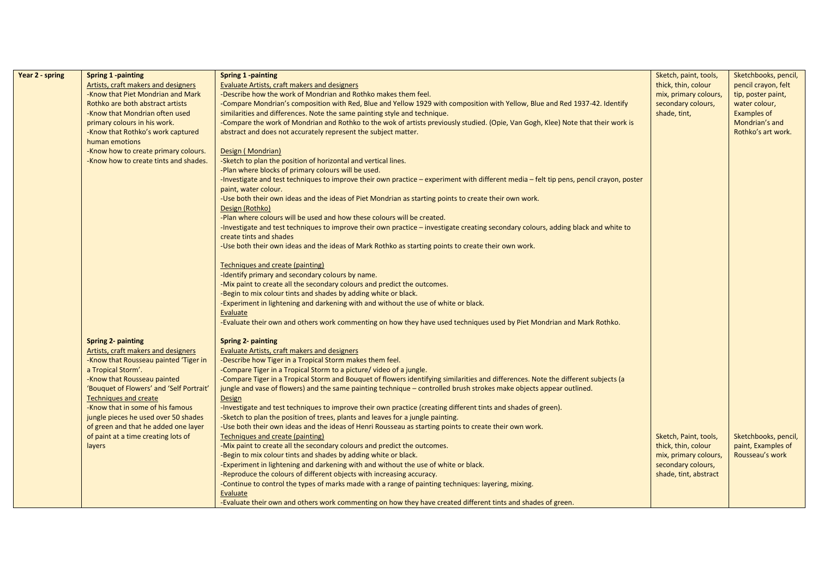| Year 2 - spring | Spring 1 -painting                       | <b>Spring 1 -painting</b>                                                                                                               | Sketch, paint, tools, | Sketchbooks, pencil, |
|-----------------|------------------------------------------|-----------------------------------------------------------------------------------------------------------------------------------------|-----------------------|----------------------|
|                 | Artists, craft makers and designers      | Evaluate Artists, craft makers and designers                                                                                            | thick, thin, colour   | pencil crayon, felt  |
|                 | -Know that Piet Mondrian and Mark        | -Describe how the work of Mondrian and Rothko makes them feel.                                                                          | mix, primary colours, | tip, poster paint,   |
|                 | Rothko are both abstract artists         | -Compare Mondrian's composition with Red, Blue and Yellow 1929 with composition with Yellow, Blue and Red 1937-42. Identify             | secondary colours,    | water colour,        |
|                 | -Know that Mondrian often used           | similarities and differences. Note the same painting style and technique.                                                               | shade, tint,          | Examples of          |
|                 | primary colours in his work.             | -Compare the work of Mondrian and Rothko to the wok of artists previously studied. (Opie, Van Gogh, Klee) Note that their work is       |                       | Mondrian's and       |
|                 | -Know that Rothko's work captured        | abstract and does not accurately represent the subject matter.                                                                          |                       | Rothko's art work.   |
|                 | human emotions                           |                                                                                                                                         |                       |                      |
|                 | -Know how to create primary colours.     | Design (Mondrian)                                                                                                                       |                       |                      |
|                 | -Know how to create tints and shades.    | -Sketch to plan the position of horizontal and vertical lines.                                                                          |                       |                      |
|                 |                                          | -Plan where blocks of primary colours will be used.                                                                                     |                       |                      |
|                 |                                          | -Investigate and test techniques to improve their own practice - experiment with different media - felt tip pens, pencil crayon, poster |                       |                      |
|                 |                                          | paint, water colour.                                                                                                                    |                       |                      |
|                 |                                          | -Use both their own ideas and the ideas of Piet Mondrian as starting points to create their own work.                                   |                       |                      |
|                 |                                          | Design (Rothko)                                                                                                                         |                       |                      |
|                 |                                          | -Plan where colours will be used and how these colours will be created.                                                                 |                       |                      |
|                 |                                          | -Investigate and test techniques to improve their own practice - investigate creating secondary colours, adding black and white to      |                       |                      |
|                 |                                          | create tints and shades                                                                                                                 |                       |                      |
|                 |                                          | -Use both their own ideas and the ideas of Mark Rothko as starting points to create their own work.                                     |                       |                      |
|                 |                                          | Techniques and create (painting)                                                                                                        |                       |                      |
|                 |                                          | -Identify primary and secondary colours by name.                                                                                        |                       |                      |
|                 |                                          | -Mix paint to create all the secondary colours and predict the outcomes.                                                                |                       |                      |
|                 |                                          | -Begin to mix colour tints and shades by adding white or black.                                                                         |                       |                      |
|                 |                                          | -Experiment in lightening and darkening with and without the use of white or black.                                                     |                       |                      |
|                 |                                          | Evaluate                                                                                                                                |                       |                      |
|                 |                                          | -Evaluate their own and others work commenting on how they have used techniques used by Piet Mondrian and Mark Rothko.                  |                       |                      |
|                 | <b>Spring 2- painting</b>                | <b>Spring 2- painting</b>                                                                                                               |                       |                      |
|                 | Artists, craft makers and designers      | <b>Evaluate Artists, craft makers and designers</b>                                                                                     |                       |                      |
|                 | -Know that Rousseau painted 'Tiger in    | -Describe how Tiger in a Tropical Storm makes them feel.                                                                                |                       |                      |
|                 | a Tropical Storm'.                       | -Compare Tiger in a Tropical Storm to a picture/ video of a jungle.                                                                     |                       |                      |
|                 | -Know that Rousseau painted              | -Compare Tiger in a Tropical Storm and Bouquet of flowers identifying similarities and differences. Note the different subjects (a      |                       |                      |
|                 | 'Bouquet of Flowers' and 'Self Portrait' | jungle and vase of flowers) and the same painting technique - controlled brush strokes make objects appear outlined.                    |                       |                      |
|                 | <b>Techniques and create</b>             | <b>Design</b>                                                                                                                           |                       |                      |
|                 | -Know that in some of his famous         | -Investigate and test techniques to improve their own practice (creating different tints and shades of green).                          |                       |                      |
|                 | jungle pieces he used over 50 shades     | -Sketch to plan the position of trees, plants and leaves for a jungle painting.                                                         |                       |                      |
|                 | of green and that he added one layer     | -Use both their own ideas and the ideas of Henri Rousseau as starting points to create their own work.                                  |                       |                      |
|                 | of paint at a time creating lots of      | Techniques and create (painting)                                                                                                        | Sketch, Paint, tools, | Sketchbooks, pencil, |
|                 | layers                                   | -Mix paint to create all the secondary colours and predict the outcomes.                                                                | thick, thin, colour   | paint, Examples of   |
|                 |                                          | -Begin to mix colour tints and shades by adding white or black.                                                                         | mix, primary colours, | Rousseau's work      |
|                 |                                          | -Experiment in lightening and darkening with and without the use of white or black.                                                     | secondary colours,    |                      |
|                 |                                          | -Reproduce the colours of different objects with increasing accuracy.                                                                   | shade, tint, abstract |                      |
|                 |                                          | -Continue to control the types of marks made with a range of painting techniques: layering, mixing.                                     |                       |                      |
|                 |                                          | Evaluate                                                                                                                                |                       |                      |
|                 |                                          | -Evaluate their own and others work commenting on how they have created different tints and shades of green.                            |                       |                      |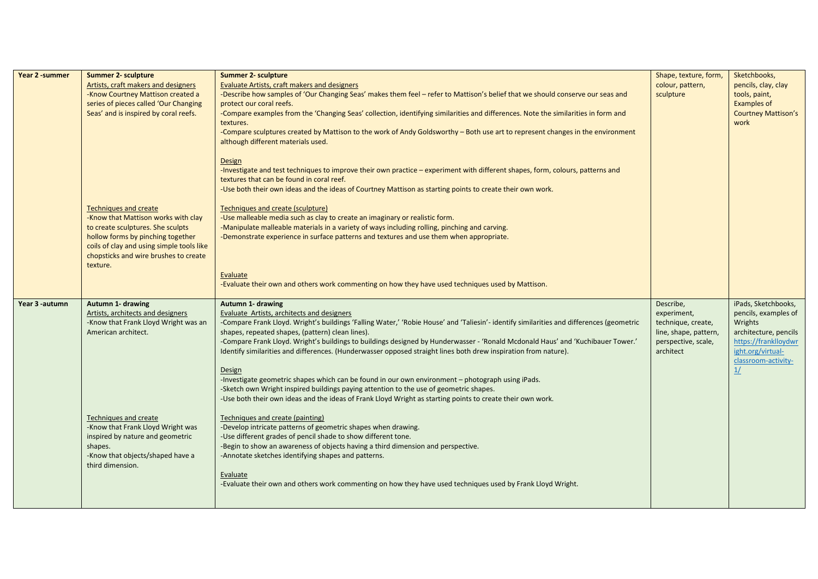| Year 2 -summer | <b>Summer 2- sculpture</b><br>Artists, craft makers and designers<br>-Know Courtney Mattison created a<br>series of pieces called 'Our Changing<br>Seas' and is inspired by coral reefs.                                                        | <b>Summer 2- sculpture</b><br>Evaluate Artists, craft makers and designers<br>-Describe how samples of 'Our Changing Seas' makes them feel - refer to Mattison's belief that we should conserve our seas and<br>protect our coral reefs.<br>-Compare examples from the 'Changing Seas' collection, identifying similarities and differences. Note the similarities in form and<br>textures.<br>-Compare sculptures created by Mattison to the work of Andy Goldsworthy - Both use art to represent changes in the environment<br>although different materials used.<br>Design<br>-Investigate and test techniques to improve their own practice - experiment with different shapes, form, colours, patterns and<br>textures that can be found in coral reef.<br>-Use both their own ideas and the ideas of Courtney Mattison as starting points to create their own work. | Shape, texture, form,<br>colour, pattern,<br>sculpture                                                      | Sketchbooks,<br>pencils, clay, clay<br>tools, paint,<br><b>Examples of</b><br><b>Courtney Mattison's</b><br>work                                          |
|----------------|-------------------------------------------------------------------------------------------------------------------------------------------------------------------------------------------------------------------------------------------------|---------------------------------------------------------------------------------------------------------------------------------------------------------------------------------------------------------------------------------------------------------------------------------------------------------------------------------------------------------------------------------------------------------------------------------------------------------------------------------------------------------------------------------------------------------------------------------------------------------------------------------------------------------------------------------------------------------------------------------------------------------------------------------------------------------------------------------------------------------------------------|-------------------------------------------------------------------------------------------------------------|-----------------------------------------------------------------------------------------------------------------------------------------------------------|
|                | <b>Techniques and create</b><br>-Know that Mattison works with clay<br>to create sculptures. She sculpts<br>hollow forms by pinching together<br>coils of clay and using simple tools like<br>chopsticks and wire brushes to create<br>texture. | Techniques and create (sculpture)<br>-Use malleable media such as clay to create an imaginary or realistic form.<br>-Manipulate malleable materials in a variety of ways including rolling, pinching and carving.<br>-Demonstrate experience in surface patterns and textures and use them when appropriate.<br>Evaluate<br>-Evaluate their own and others work commenting on how they have used techniques used by Mattison.                                                                                                                                                                                                                                                                                                                                                                                                                                             |                                                                                                             |                                                                                                                                                           |
| Year 3 -autumn | Autumn 1- drawing<br>Artists, architects and designers<br>-Know that Frank Lloyd Wright was an<br>American architect.                                                                                                                           | Autumn 1- drawing<br>Evaluate Artists, architects and designers<br>-Compare Frank Lloyd. Wright's buildings 'Falling Water,' 'Robie House' and 'Taliesin'- identify similarities and differences (geometric<br>shapes, repeated shapes, (pattern) clean lines).<br>-Compare Frank Lloyd. Wright's buildings to buildings designed by Hunderwasser - 'Ronald Mcdonald Haus' and 'Kuchibauer Tower.'<br>Identify similarities and differences. (Hunderwasser opposed straight lines both drew inspiration from nature).<br>Design<br>-Investigate geometric shapes which can be found in our own environment - photograph using iPads.<br>-Sketch own Wright inspired buildings paying attention to the use of geometric shapes.<br>-Use both their own ideas and the ideas of Frank Lloyd Wright as starting points to create their own work.                              | Describe,<br>experiment,<br>technique, create,<br>line, shape, pattern,<br>perspective, scale,<br>architect | iPads, Sketchbooks,<br>pencils, examples of<br>Wrights<br>architecture, pencils<br>https://franklloydwr<br>ight.org/virtual-<br>classroom-activity-<br>1/ |
|                | <b>Techniques and create</b><br>-Know that Frank Lloyd Wright was<br>inspired by nature and geometric<br>shapes.<br>-Know that objects/shaped have a<br>third dimension.                                                                        | Techniques and create (painting)<br>-Develop intricate patterns of geometric shapes when drawing.<br>-Use different grades of pencil shade to show different tone.<br>-Begin to show an awareness of objects having a third dimension and perspective.<br>-Annotate sketches identifying shapes and patterns.<br>Evaluate<br>-Evaluate their own and others work commenting on how they have used techniques used by Frank Lloyd Wright.                                                                                                                                                                                                                                                                                                                                                                                                                                  |                                                                                                             |                                                                                                                                                           |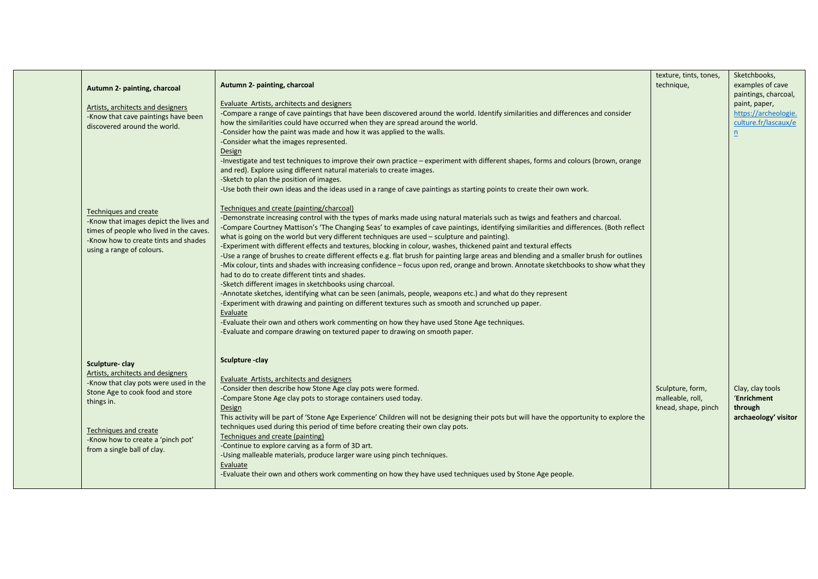| Autumn 2- painting, charcoal<br>Artists, architects and designers<br>-Know that cave paintings have been<br>discovered around the world.                                                                                                    | Autumn 2- painting, charcoal<br><b>Evaluate Artists, architects and designers</b><br>-Compare a range of cave paintings that have been discovered around the world. Identify similarities and differences and consider<br>how the similarities could have occurred when they are spread around the world.<br>-Consider how the paint was made and how it was applied to the walls.<br>-Consider what the images represented.<br>Design<br>-Investigate and test techniques to improve their own practice - experiment with different shapes, forms and colours (brown, orange<br>and red). Explore using different natural materials to create images.<br>-Sketch to plan the position of images.<br>-Use both their own ideas and the ideas used in a range of cave paintings as starting points to create their own work.                                                                                                                                                                                                                                                                                                                                                                                                                                                                                                                                 | texture, tints, tones,<br>technique,                        | Sketchbooks,<br>examples of cave<br>paintings, charcoal,<br>paint, paper,<br>https://archeologie.<br>culture.fr/lascaux/e<br>$\underline{n}$ |
|---------------------------------------------------------------------------------------------------------------------------------------------------------------------------------------------------------------------------------------------|-------------------------------------------------------------------------------------------------------------------------------------------------------------------------------------------------------------------------------------------------------------------------------------------------------------------------------------------------------------------------------------------------------------------------------------------------------------------------------------------------------------------------------------------------------------------------------------------------------------------------------------------------------------------------------------------------------------------------------------------------------------------------------------------------------------------------------------------------------------------------------------------------------------------------------------------------------------------------------------------------------------------------------------------------------------------------------------------------------------------------------------------------------------------------------------------------------------------------------------------------------------------------------------------------------------------------------------------------------------|-------------------------------------------------------------|----------------------------------------------------------------------------------------------------------------------------------------------|
| Techniques and create<br>-Know that images depict the lives and<br>times of people who lived in the caves.<br>-Know how to create tints and shades<br>using a range of colours.                                                             | Techniques and create (painting/charcoal)<br>-Demonstrate increasing control with the types of marks made using natural materials such as twigs and feathers and charcoal.<br>-Compare Courtney Mattison's 'The Changing Seas' to examples of cave paintings, identifying similarities and differences. (Both reflect<br>what is going on the world but very different techniques are used – sculpture and painting).<br>-Experiment with different effects and textures, blocking in colour, washes, thickened paint and textural effects<br>-Use a range of brushes to create different effects e.g. flat brush for painting large areas and blending and a smaller brush for outlines<br>-Mix colour, tints and shades with increasing confidence - focus upon red, orange and brown. Annotate sketchbooks to show what they<br>had to do to create different tints and shades.<br>-Sketch different images in sketchbooks using charcoal.<br>-Annotate sketches, identifying what can be seen (animals, people, weapons etc.) and what do they represent<br>-Experiment with drawing and painting on different textures such as smooth and scrunched up paper.<br>Evaluate<br>-Evaluate their own and others work commenting on how they have used Stone Age techniques.<br>-Evaluate and compare drawing on textured paper to drawing on smooth paper. |                                                             |                                                                                                                                              |
| Sculpture-clay<br>Artists, architects and designers<br>-Know that clay pots were used in the<br>Stone Age to cook food and store<br>things in.<br>Techniques and create<br>-Know how to create a 'pinch pot'<br>from a single ball of clay. | Sculpture - clay<br>Evaluate Artists, architects and designers<br>-Consider then describe how Stone Age clay pots were formed.<br>-Compare Stone Age clay pots to storage containers used today.<br>Design<br>This activity will be part of 'Stone Age Experience' Children will not be designing their pots but will have the opportunity to explore the<br>techniques used during this period of time before creating their own clay pots.<br>Techniques and create (painting)<br>-Continue to explore carving as a form of 3D art.<br>-Using malleable materials, produce larger ware using pinch techniques.<br>Evaluate<br>-Evaluate their own and others work commenting on how they have used techniques used by Stone Age people.                                                                                                                                                                                                                                                                                                                                                                                                                                                                                                                                                                                                                   | Sculpture, form,<br>malleable, roll,<br>knead, shape, pinch | Clay, clay tools<br>'Enrichment<br>through<br>archaeology' visitor                                                                           |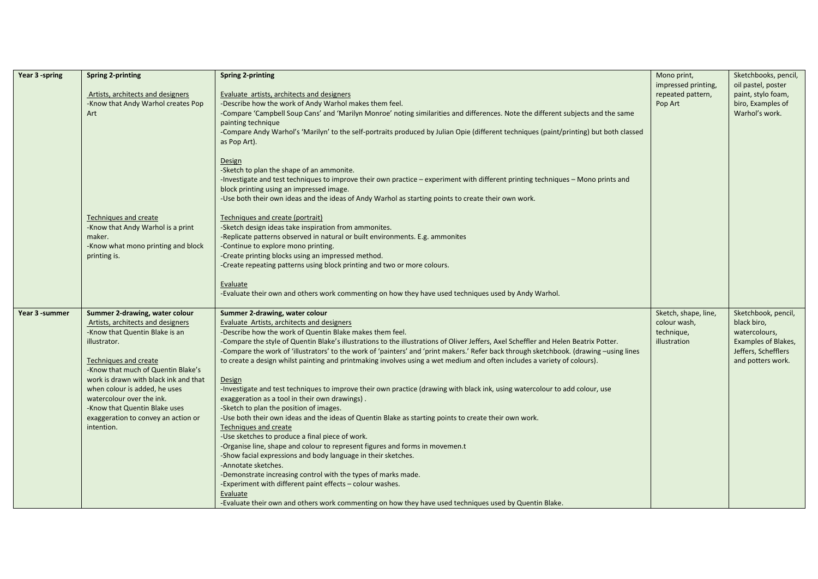| Year 3 -spring | <b>Spring 2-printing</b>                          | <b>Spring 2-printing</b>                                                                                                                                                     | Mono print,          | Sketchbooks, pencil, |
|----------------|---------------------------------------------------|------------------------------------------------------------------------------------------------------------------------------------------------------------------------------|----------------------|----------------------|
|                |                                                   |                                                                                                                                                                              | impressed printing,  | oil pastel, poster   |
|                | Artists, architects and designers                 | Evaluate artists, architects and designers                                                                                                                                   | repeated pattern,    | paint, stylo foam,   |
|                | -Know that Andy Warhol creates Pop                | -Describe how the work of Andy Warhol makes them feel.                                                                                                                       | Pop Art              | biro, Examples of    |
|                | Art                                               | -Compare 'Campbell Soup Cans' and 'Marilyn Monroe' noting similarities and differences. Note the different subjects and the same                                             |                      | Warhol's work.       |
|                |                                                   | painting technique                                                                                                                                                           |                      |                      |
|                |                                                   | -Compare Andy Warhol's 'Marilyn' to the self-portraits produced by Julian Opie (different techniques (paint/printing) but both classed<br>as Pop Art).                       |                      |                      |
|                |                                                   |                                                                                                                                                                              |                      |                      |
|                |                                                   | Design                                                                                                                                                                       |                      |                      |
|                |                                                   | -Sketch to plan the shape of an ammonite.                                                                                                                                    |                      |                      |
|                |                                                   | -Investigate and test techniques to improve their own practice - experiment with different printing techniques - Mono prints and<br>block printing using an impressed image. |                      |                      |
|                |                                                   | -Use both their own ideas and the ideas of Andy Warhol as starting points to create their own work.                                                                          |                      |                      |
|                |                                                   |                                                                                                                                                                              |                      |                      |
|                | <b>Techniques and create</b>                      | Techniques and create (portrait)                                                                                                                                             |                      |                      |
|                | -Know that Andy Warhol is a print                 | -Sketch design ideas take inspiration from ammonites.                                                                                                                        |                      |                      |
|                | maker.                                            | -Replicate patterns observed in natural or built environments. E.g. ammonites                                                                                                |                      |                      |
|                | -Know what mono printing and block                | -Continue to explore mono printing.                                                                                                                                          |                      |                      |
|                | printing is.                                      | -Create printing blocks using an impressed method.                                                                                                                           |                      |                      |
|                |                                                   | -Create repeating patterns using block printing and two or more colours.                                                                                                     |                      |                      |
|                |                                                   | Evaluate                                                                                                                                                                     |                      |                      |
|                |                                                   | -Evaluate their own and others work commenting on how they have used techniques used by Andy Warhol.                                                                         |                      |                      |
| Year 3 -summer | Summer 2-drawing, water colour                    | Summer 2-drawing, water colour                                                                                                                                               | Sketch, shape, line, | Sketchbook, pencil,  |
|                | Artists, architects and designers                 | <b>Evaluate Artists, architects and designers</b>                                                                                                                            | colour wash,         | black biro,          |
|                | -Know that Quentin Blake is an                    | -Describe how the work of Quentin Blake makes them feel.                                                                                                                     | technique,           | watercolours,        |
|                | illustrator.                                      | -Compare the style of Quentin Blake's illustrations to the illustrations of Oliver Jeffers, Axel Scheffler and Helen Beatrix Potter.                                         | illustration         | Examples of Blakes,  |
|                |                                                   | -Compare the work of 'illustrators' to the work of 'painters' and 'print makers.' Refer back through sketchbook. (drawing -using lines                                       |                      | Jeffers, Schefflers  |
|                | <b>Techniques and create</b>                      | to create a design whilst painting and printmaking involves using a wet medium and often includes a variety of colours).                                                     |                      | and potters work.    |
|                | -Know that much of Quentin Blake's                |                                                                                                                                                                              |                      |                      |
|                | work is drawn with black ink and that             | Design                                                                                                                                                                       |                      |                      |
|                | when colour is added, he uses                     | -Investigate and test techniques to improve their own practice (drawing with black ink, using watercolour to add colour, use                                                 |                      |                      |
|                | watercolour over the ink.                         | exaggeration as a tool in their own drawings).                                                                                                                               |                      |                      |
|                | -Know that Quentin Blake uses                     | -Sketch to plan the position of images.                                                                                                                                      |                      |                      |
|                | exaggeration to convey an action or<br>intention. | -Use both their own ideas and the ideas of Quentin Blake as starting points to create their own work.<br>Techniques and create                                               |                      |                      |
|                |                                                   | -Use sketches to produce a final piece of work.                                                                                                                              |                      |                      |
|                |                                                   | -Organise line, shape and colour to represent figures and forms in movemen.t                                                                                                 |                      |                      |
|                |                                                   | -Show facial expressions and body language in their sketches.                                                                                                                |                      |                      |
|                |                                                   | -Annotate sketches.                                                                                                                                                          |                      |                      |
|                |                                                   | -Demonstrate increasing control with the types of marks made.                                                                                                                |                      |                      |
|                |                                                   | -Experiment with different paint effects - colour washes.                                                                                                                    |                      |                      |
|                |                                                   | Evaluate                                                                                                                                                                     |                      |                      |
|                |                                                   | -Evaluate their own and others work commenting on how they have used techniques used by Quentin Blake.                                                                       |                      |                      |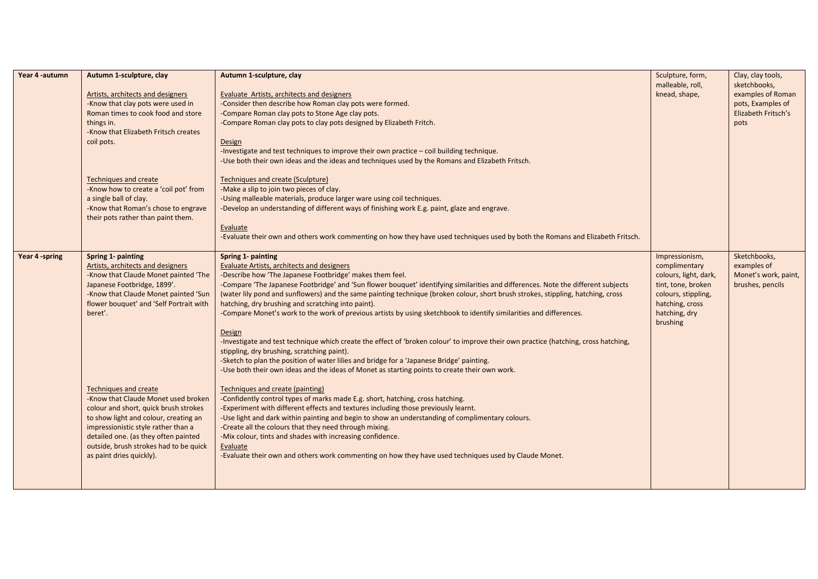| Year 4-autumn | Autumn 1-sculpture, clay                | Autumn 1-sculpture, clay                                                                                                            | Sculpture, form,      | Clay, clay tools,    |
|---------------|-----------------------------------------|-------------------------------------------------------------------------------------------------------------------------------------|-----------------------|----------------------|
|               |                                         |                                                                                                                                     | malleable, roll,      | sketchbooks,         |
|               | Artists, architects and designers       | Evaluate Artists, architects and designers                                                                                          | knead, shape,         | examples of Roman    |
|               | -Know that clay pots were used in       | -Consider then describe how Roman clay pots were formed.                                                                            |                       | pots, Examples of    |
|               | Roman times to cook food and store      | -Compare Roman clay pots to Stone Age clay pots.                                                                                    |                       | Elizabeth Fritsch's  |
|               | things in.                              | -Compare Roman clay pots to clay pots designed by Elizabeth Fritch.                                                                 |                       | pots                 |
|               | -Know that Elizabeth Fritsch creates    |                                                                                                                                     |                       |                      |
|               | coil pots.                              | Design                                                                                                                              |                       |                      |
|               |                                         | -Investigate and test techniques to improve their own practice - coil building technique.                                           |                       |                      |
|               |                                         | -Use both their own ideas and the ideas and techniques used by the Romans and Elizabeth Fritsch.                                    |                       |                      |
|               | <b>Techniques and create</b>            | Techniques and create (Sculpture)                                                                                                   |                       |                      |
|               | -Know how to create a 'coil pot' from   | -Make a slip to join two pieces of clay.                                                                                            |                       |                      |
|               | a single ball of clay.                  | -Using malleable materials, produce larger ware using coil techniques.                                                              |                       |                      |
|               | -Know that Roman's chose to engrave     | -Develop an understanding of different ways of finishing work E.g. paint, glaze and engrave.                                        |                       |                      |
|               | their pots rather than paint them.      |                                                                                                                                     |                       |                      |
|               |                                         | Evaluate                                                                                                                            |                       |                      |
|               |                                         | -Evaluate their own and others work commenting on how they have used techniques used by both the Romans and Elizabeth Fritsch.      |                       |                      |
| Year 4-spring | Spring 1- painting                      | Spring 1- painting                                                                                                                  | Impressionism,        | Sketchbooks,         |
|               | Artists, architects and designers       | Evaluate Artists, architects and designers                                                                                          | complimentary         | examples of          |
|               | -Know that Claude Monet painted 'The    | -Describe how 'The Japanese Footbridge' makes them feel.                                                                            | colours, light, dark, | Monet's work, paint, |
|               | Japanese Footbridge, 1899'.             | -Compare 'The Japanese Footbridge' and 'Sun flower bouquet' identifying similarities and differences. Note the different subjects   | tint, tone, broken    | brushes, pencils     |
|               | -Know that Claude Monet painted 'Sun    | (water lily pond and sunflowers) and the same painting technique (broken colour, short brush strokes, stippling, hatching, cross    | colours, stippling,   |                      |
|               | flower bouquet' and 'Self Portrait with | hatching, dry brushing and scratching into paint).                                                                                  | hatching, cross       |                      |
|               | beret'.                                 | -Compare Monet's work to the work of previous artists by using sketchbook to identify similarities and differences.                 | hatching, dry         |                      |
|               |                                         |                                                                                                                                     | brushing              |                      |
|               |                                         | Design                                                                                                                              |                       |                      |
|               |                                         | -Investigate and test technique which create the effect of 'broken colour' to improve their own practice (hatching, cross hatching, |                       |                      |
|               |                                         | stippling, dry brushing, scratching paint).                                                                                         |                       |                      |
|               |                                         | -Sketch to plan the position of water lilies and bridge for a 'Japanese Bridge' painting.                                           |                       |                      |
|               |                                         | -Use both their own ideas and the ideas of Monet as starting points to create their own work.                                       |                       |                      |
|               | Techniques and create                   | Techniques and create (painting)                                                                                                    |                       |                      |
|               | -Know that Claude Monet used broken     | -Confidently control types of marks made E.g. short, hatching, cross hatching.                                                      |                       |                      |
|               | colour and short, quick brush strokes   | -Experiment with different effects and textures including those previously learnt.                                                  |                       |                      |
|               | to show light and colour, creating an   | -Use light and dark within painting and begin to show an understanding of complimentary colours.                                    |                       |                      |
|               | impressionistic style rather than a     | -Create all the colours that they need through mixing.                                                                              |                       |                      |
|               | detailed one. (as they often painted    | -Mix colour, tints and shades with increasing confidence.                                                                           |                       |                      |
|               | outside, brush strokes had to be quick  | Evaluate                                                                                                                            |                       |                      |
|               | as paint dries quickly).                | -Evaluate their own and others work commenting on how they have used techniques used by Claude Monet.                               |                       |                      |
|               |                                         |                                                                                                                                     |                       |                      |
|               |                                         |                                                                                                                                     |                       |                      |
|               |                                         |                                                                                                                                     |                       |                      |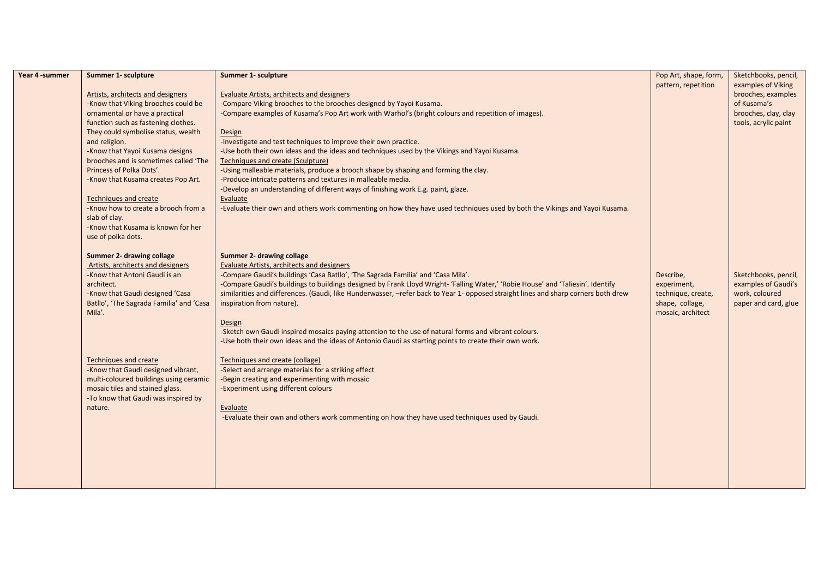| Year 4 - summer | Summer 1- sculpture                              | Summer 1- sculpture                                                                                                                                             | Pop Art, shape, form, | Sketchbooks, pencil, |
|-----------------|--------------------------------------------------|-----------------------------------------------------------------------------------------------------------------------------------------------------------------|-----------------------|----------------------|
|                 |                                                  |                                                                                                                                                                 | pattern, repetition   | examples of Viking   |
|                 | Artists, architects and designers                | <b>Evaluate Artists, architects and designers</b>                                                                                                               |                       | brooches, examples   |
|                 | -Know that Viking brooches could be              | -Compare Viking brooches to the brooches designed by Yayoi Kusama.                                                                                              |                       | of Kusama's          |
|                 | ornamental or have a practical                   | -Compare examples of Kusama's Pop Art work with Warhol's (bright colours and repetition of images).                                                             |                       | brooches, clay, clay |
|                 | function such as fastening clothes.              |                                                                                                                                                                 |                       | tools, acrylic paint |
|                 | They could symbolise status, wealth              | Design                                                                                                                                                          |                       |                      |
|                 | and religion.<br>-Know that Yayoi Kusama designs | -Investigate and test techniques to improve their own practice.<br>-Use both their own ideas and the ideas and techniques used by the Vikings and Yayoi Kusama. |                       |                      |
|                 | brooches and is sometimes called 'The            | <b>Techniques and create (Sculpture)</b>                                                                                                                        |                       |                      |
|                 | Princess of Polka Dots'.                         | -Using malleable materials, produce a brooch shape by shaping and forming the clay.                                                                             |                       |                      |
|                 | -Know that Kusama creates Pop Art.               | -Produce intricate patterns and textures in malleable media.                                                                                                    |                       |                      |
|                 |                                                  | -Develop an understanding of different ways of finishing work E.g. paint, glaze.                                                                                |                       |                      |
|                 | <b>Techniques and create</b>                     | Evaluate                                                                                                                                                        |                       |                      |
|                 | -Know how to create a brooch from a              | -Evaluate their own and others work commenting on how they have used techniques used by both the Vikings and Yayoi Kusama.                                      |                       |                      |
|                 | slab of clay.                                    |                                                                                                                                                                 |                       |                      |
|                 | -Know that Kusama is known for her               |                                                                                                                                                                 |                       |                      |
|                 | use of polka dots.                               |                                                                                                                                                                 |                       |                      |
|                 | Summer 2- drawing collage                        | Summer 2- drawing collage                                                                                                                                       |                       |                      |
|                 | Artists, architects and designers                | <b>Evaluate Artists, architects and designers</b>                                                                                                               |                       |                      |
|                 | -Know that Antoni Gaudi is an                    | -Compare Gaudi's buildings 'Casa Batllo', 'The Sagrada Familia' and 'Casa Mila'.                                                                                | Describe,             | Sketchbooks, pencil, |
|                 | architect.                                       | -Compare Gaudi's buildings to buildings designed by Frank Lloyd Wright- 'Falling Water,' 'Robie House' and 'Taliesin'. Identify                                 | experiment,           | examples of Gaudi's  |
|                 | -Know that Gaudi designed 'Casa                  | similarities and differences. (Gaudi, like Hunderwasser, -refer back to Year 1- opposed straight lines and sharp corners both drew                              | technique, create,    | work, coloured       |
|                 | Batllo', 'The Sagrada Familia' and 'Casa         | inspiration from nature).                                                                                                                                       | shape, collage,       | paper and card, glue |
|                 | Mila'.                                           |                                                                                                                                                                 | mosaic, architect     |                      |
|                 |                                                  | Design                                                                                                                                                          |                       |                      |
|                 |                                                  | -Sketch own Gaudi inspired mosaics paying attention to the use of natural forms and vibrant colours.                                                            |                       |                      |
|                 |                                                  | -Use both their own ideas and the ideas of Antonio Gaudi as starting points to create their own work.                                                           |                       |                      |
|                 | <b>Techniques and create</b>                     | Techniques and create (collage)                                                                                                                                 |                       |                      |
|                 | -Know that Gaudi designed vibrant,               | -Select and arrange materials for a striking effect                                                                                                             |                       |                      |
|                 | multi-coloured buildings using ceramic           | -Begin creating and experimenting with mosaic                                                                                                                   |                       |                      |
|                 | mosaic tiles and stained glass.                  | -Experiment using different colours                                                                                                                             |                       |                      |
|                 | -To know that Gaudi was inspired by              |                                                                                                                                                                 |                       |                      |
|                 | nature.                                          | Evaluate                                                                                                                                                        |                       |                      |
|                 |                                                  | -Evaluate their own and others work commenting on how they have used techniques used by Gaudi.                                                                  |                       |                      |
|                 |                                                  |                                                                                                                                                                 |                       |                      |
|                 |                                                  |                                                                                                                                                                 |                       |                      |
|                 |                                                  |                                                                                                                                                                 |                       |                      |
|                 |                                                  |                                                                                                                                                                 |                       |                      |
|                 |                                                  |                                                                                                                                                                 |                       |                      |
|                 |                                                  |                                                                                                                                                                 |                       |                      |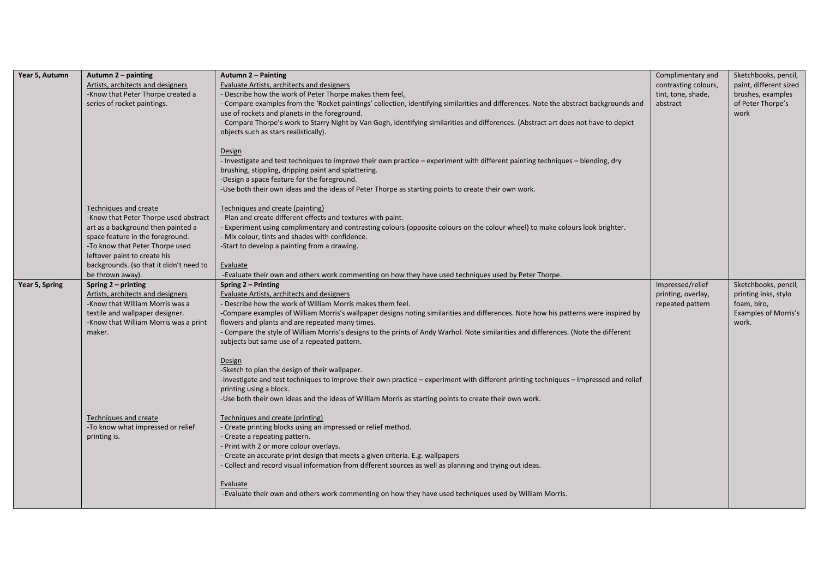| Year 5, Autumn | Autumn 2 - painting<br>Artists, architects and designers<br>-Know that Peter Thorpe created a<br>series of rocket paintings.                                                                                                                                               | Autumn 2 - Painting<br>Evaluate Artists, architects and designers<br>- Describe how the work of Peter Thorpe makes them feel.<br>- Compare examples from the 'Rocket paintings' collection, identifying similarities and differences. Note the abstract backgrounds and<br>use of rockets and planets in the foreground.<br>- Compare Thorpe's work to Starry Night by Van Gogh, identifying similarities and differences. (Abstract art does not have to depict<br>objects such as stars realistically).<br><b>Design</b><br>- Investigate and test techniques to improve their own practice – experiment with different painting techniques – blending, dry<br>brushing, stippling, dripping paint and splattering.<br>-Design a space feature for the foreground.<br>-Use both their own ideas and the ideas of Peter Thorpe as starting points to create their own work. | Complimentary and<br>contrasting colours,<br>tint, tone, shade,<br>abstract | Sketchbooks, pencil,<br>paint, different sized<br>brushes, examples<br>of Peter Thorpe's<br>work |
|----------------|----------------------------------------------------------------------------------------------------------------------------------------------------------------------------------------------------------------------------------------------------------------------------|------------------------------------------------------------------------------------------------------------------------------------------------------------------------------------------------------------------------------------------------------------------------------------------------------------------------------------------------------------------------------------------------------------------------------------------------------------------------------------------------------------------------------------------------------------------------------------------------------------------------------------------------------------------------------------------------------------------------------------------------------------------------------------------------------------------------------------------------------------------------------|-----------------------------------------------------------------------------|--------------------------------------------------------------------------------------------------|
|                | Techniques and create<br>-Know that Peter Thorpe used abstract<br>art as a background then painted a<br>space feature in the foreground.<br>-To know that Peter Thorpe used<br>leftover paint to create his<br>backgrounds. (so that it didn't need to<br>be thrown away). | Techniques and create (painting)<br>- Plan and create different effects and textures with paint.<br>- Experiment using complimentary and contrasting colours (opposite colours on the colour wheel) to make colours look brighter.<br>- Mix colour, tints and shades with confidence.<br>-Start to develop a painting from a drawing.<br>Evaluate<br>-Evaluate their own and others work commenting on how they have used techniques used by Peter Thorpe.                                                                                                                                                                                                                                                                                                                                                                                                                   |                                                                             |                                                                                                  |
| Year 5, Spring | Spring 2 – printing<br>Artists, architects and designers<br>-Know that William Morris was a<br>textile and wallpaper designer.<br>-Know that William Morris was a print<br>maker.                                                                                          | Spring 2 - Printing<br>Evaluate Artists, architects and designers<br>- Describe how the work of William Morris makes them feel.<br>-Compare examples of William Morris's wallpaper designs noting similarities and differences. Note how his patterns were inspired by<br>flowers and plants and are repeated many times.<br>- Compare the style of William Morris's designs to the prints of Andy Warhol. Note similarities and differences. (Note the different<br>subjects but same use of a repeated pattern.<br><b>Design</b><br>-Sketch to plan the design of their wallpaper.<br>-Investigate and test techniques to improve their own practice - experiment with different printing techniques - Impressed and relief<br>printing using a block.<br>-Use both their own ideas and the ideas of William Morris as starting points to create their own work.           | Impressed/relief<br>printing, overlay,<br>repeated pattern                  | Sketchbooks, pencil,<br>printing inks, stylo<br>foam, biro,<br>Examples of Morris's<br>work.     |
|                | Techniques and create<br>-To know what impressed or relief<br>printing is.                                                                                                                                                                                                 | Techniques and create (printing)<br>- Create printing blocks using an impressed or relief method.<br>- Create a repeating pattern.<br>- Print with 2 or more colour overlays.<br>- Create an accurate print design that meets a given criteria. E.g. wallpapers<br>- Collect and record visual information from different sources as well as planning and trying out ideas.<br>Evaluate<br>-Evaluate their own and others work commenting on how they have used techniques used by William Morris.                                                                                                                                                                                                                                                                                                                                                                           |                                                                             |                                                                                                  |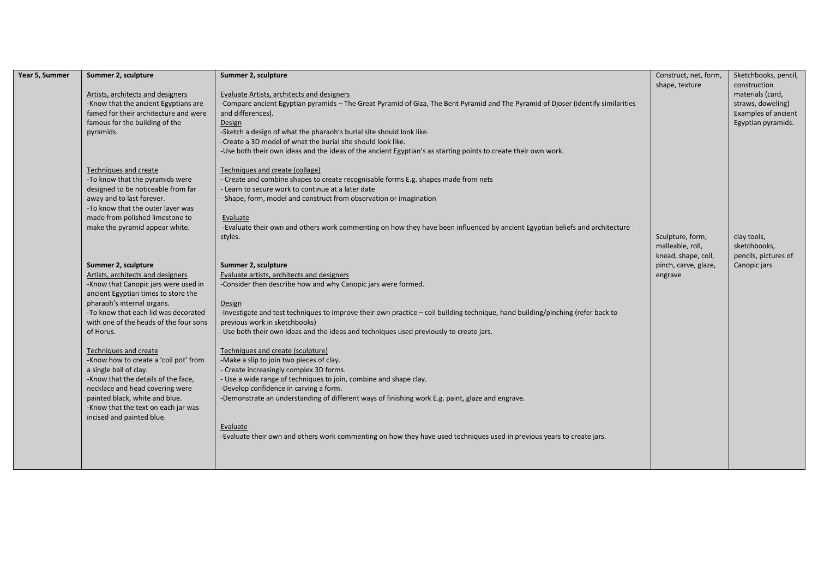| Year 5, Summer | Summer 2, sculpture                                                                                                                                                                                                                                                                                                                                                                                                                                                                                                                              | Summer 2, sculpture                                                                                                                                                                                                                                                                                                                                                                                                                                                                                                                                                                                                                                                                                                                                                                                                                                                                             | Construct, net, form,                                  | Sketchbooks, pencil,                                                                               |
|----------------|--------------------------------------------------------------------------------------------------------------------------------------------------------------------------------------------------------------------------------------------------------------------------------------------------------------------------------------------------------------------------------------------------------------------------------------------------------------------------------------------------------------------------------------------------|-------------------------------------------------------------------------------------------------------------------------------------------------------------------------------------------------------------------------------------------------------------------------------------------------------------------------------------------------------------------------------------------------------------------------------------------------------------------------------------------------------------------------------------------------------------------------------------------------------------------------------------------------------------------------------------------------------------------------------------------------------------------------------------------------------------------------------------------------------------------------------------------------|--------------------------------------------------------|----------------------------------------------------------------------------------------------------|
|                | Artists, architects and designers<br>-Know that the ancient Egyptians are<br>famed for their architecture and were<br>famous for the building of the<br>pyramids.                                                                                                                                                                                                                                                                                                                                                                                | Evaluate Artists, architects and designers<br>-Compare ancient Egyptian pyramids - The Great Pyramid of Giza, The Bent Pyramid and The Pyramid of Djoser (identify similarities<br>and differences).<br>Design<br>-Sketch a design of what the pharaoh's burial site should look like.<br>-Create a 3D model of what the burial site should look like.<br>-Use both their own ideas and the ideas of the ancient Egyptian's as starting points to create their own work.                                                                                                                                                                                                                                                                                                                                                                                                                        | shape, texture                                         | construction<br>materials (card,<br>straws, doweling)<br>Examples of ancient<br>Egyptian pyramids. |
|                | Techniques and create<br>-To know that the pyramids were<br>designed to be noticeable from far<br>away and to last forever.<br>-To know that the outer layer was<br>made from polished limestone to<br>make the pyramid appear white.                                                                                                                                                                                                                                                                                                            | Techniques and create (collage)<br>- Create and combine shapes to create recognisable forms E.g. shapes made from nets<br>- Learn to secure work to continue at a later date<br>- Shape, form, model and construct from observation or imagination<br>Evaluate<br>-Evaluate their own and others work commenting on how they have been influenced by ancient Egyptian beliefs and architecture<br>styles.                                                                                                                                                                                                                                                                                                                                                                                                                                                                                       | Sculpture, form,<br>malleable, roll,                   | clay tools,<br>sketchbooks,                                                                        |
|                | Summer 2, sculpture<br>Artists, architects and designers<br>-Know that Canopic jars were used in<br>ancient Egyptian times to store the<br>pharaoh's internal organs.<br>-To know that each lid was decorated<br>with one of the heads of the four sons<br>of Horus.<br>Techniques and create<br>-Know how to create a 'coil pot' from<br>a single ball of clay.<br>-Know that the details of the face,<br>necklace and head covering were<br>painted black, white and blue.<br>-Know that the text on each jar was<br>incised and painted blue. | Summer 2, sculpture<br>Evaluate artists, architects and designers<br>-Consider then describe how and why Canopic jars were formed.<br>Design<br>-Investigate and test techniques to improve their own practice - coil building technique, hand building/pinching (refer back to<br>previous work in sketchbooks)<br>-Use both their own ideas and the ideas and techniques used previously to create jars.<br>Techniques and create (sculpture)<br>-Make a slip to join two pieces of clay.<br>- Create increasingly complex 3D forms.<br>- Use a wide range of techniques to join, combine and shape clay.<br>-Develop confidence in carving a form.<br>-Demonstrate an understanding of different ways of finishing work E.g. paint, glaze and engrave.<br>Evaluate<br>-Evaluate their own and others work commenting on how they have used techniques used in previous years to create jars. | knead, shape, coil,<br>pinch, carve, glaze,<br>engrave | pencils, pictures of<br>Canopic jars                                                               |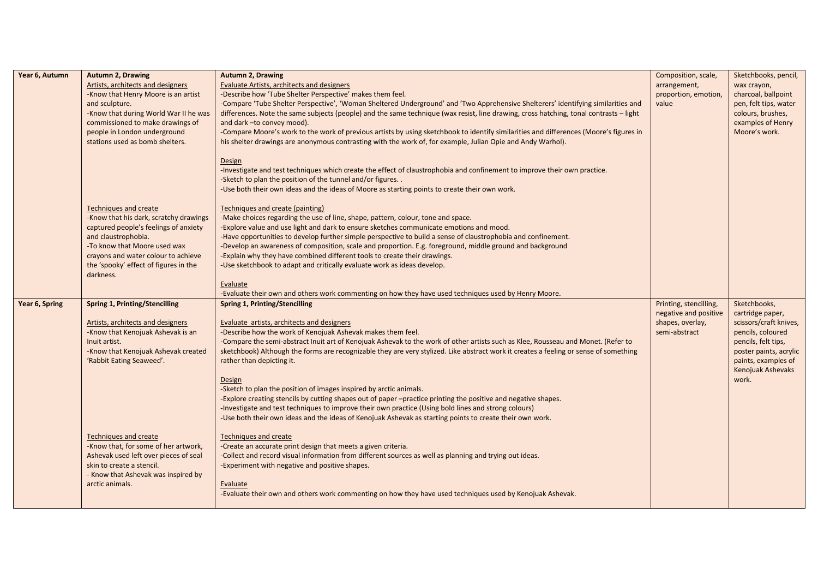| Year 6, Autumn | <b>Autumn 2, Drawing</b>                 | <b>Autumn 2, Drawing</b>                                                                                                               | Composition, scale,    | Sketchbooks, pencil,                     |
|----------------|------------------------------------------|----------------------------------------------------------------------------------------------------------------------------------------|------------------------|------------------------------------------|
|                | Artists, architects and designers        | Evaluate Artists, architects and designers                                                                                             | arrangement,           | wax crayon,                              |
|                | -Know that Henry Moore is an artist      | -Describe how 'Tube Shelter Perspective' makes them feel.                                                                              | proportion, emotion,   | charcoal, ballpoint                      |
|                | and sculpture.                           | -Compare 'Tube Shelter Perspective', 'Woman Sheltered Underground' and 'Two Apprehensive Shelterers' identifying similarities and      | value                  | pen, felt tips, water                    |
|                | -Know that during World War II he was    | differences. Note the same subjects (people) and the same technique (wax resist, line drawing, cross hatching, tonal contrasts - light |                        | colours, brushes,                        |
|                | commissioned to make drawings of         | and dark -to convey mood).                                                                                                             |                        | examples of Henry                        |
|                | people in London underground             | -Compare Moore's work to the work of previous artists by using sketchbook to identify similarities and differences (Moore's figures in |                        | Moore's work.                            |
|                | stations used as bomb shelters.          | his shelter drawings are anonymous contrasting with the work of, for example, Julian Opie and Andy Warhol).                            |                        |                                          |
|                |                                          | Design                                                                                                                                 |                        |                                          |
|                |                                          | -Investigate and test techniques which create the effect of claustrophobia and confinement to improve their own practice.              |                        |                                          |
|                |                                          | -Sketch to plan the position of the tunnel and/or figures                                                                              |                        |                                          |
|                |                                          | -Use both their own ideas and the ideas of Moore as starting points to create their own work.                                          |                        |                                          |
|                |                                          |                                                                                                                                        |                        |                                          |
|                | <b>Techniques and create</b>             | Techniques and create (painting)                                                                                                       |                        |                                          |
|                | -Know that his dark, scratchy drawings   | -Make choices regarding the use of line, shape, pattern, colour, tone and space.                                                       |                        |                                          |
|                | captured people's feelings of anxiety    | -Explore value and use light and dark to ensure sketches communicate emotions and mood.                                                |                        |                                          |
|                | and claustrophobia.                      | -Have opportunities to develop further simple perspective to build a sense of claustrophobia and confinement.                          |                        |                                          |
|                | -To know that Moore used wax             | -Develop an awareness of composition, scale and proportion. E.g. foreground, middle ground and background                              |                        |                                          |
|                | crayons and water colour to achieve      | -Explain why they have combined different tools to create their drawings.                                                              |                        |                                          |
|                | the 'spooky' effect of figures in the    | -Use sketchbook to adapt and critically evaluate work as ideas develop.                                                                |                        |                                          |
|                | darkness.                                |                                                                                                                                        |                        |                                          |
|                |                                          | Evaluate                                                                                                                               |                        |                                          |
|                |                                          | -Evaluate their own and others work commenting on how they have used techniques used by Henry Moore.                                   |                        |                                          |
| Year 6, Spring | Spring 1, Printing/Stencilling           | Spring 1, Printing/Stencilling                                                                                                         | Printing, stencilling, | Sketchbooks,                             |
|                |                                          |                                                                                                                                        | negative and positive  | cartridge paper,                         |
|                | <b>Artists, architects and designers</b> | Evaluate artists, architects and designers                                                                                             | shapes, overlay,       | scissors/craft knives,                   |
|                | -Know that Kenojuak Ashevak is an        | -Describe how the work of Kenojuak Ashevak makes them feel.                                                                            | semi-abstract          | pencils, coloured                        |
|                | Inuit artist.                            | -Compare the semi-abstract Inuit art of Kenojuak Ashevak to the work of other artists such as Klee, Rousseau and Monet. (Refer to      |                        | pencils, felt tips,                      |
|                | -Know that Kenojuak Ashevak created      | sketchbook) Although the forms are recognizable they are very stylized. Like abstract work it creates a feeling or sense of something  |                        | poster paints, acrylic                   |
|                | 'Rabbit Eating Seaweed'.                 | rather than depicting it.                                                                                                              |                        | paints, examples of<br>Kenojuak Ashevaks |
|                |                                          | Design                                                                                                                                 |                        | work.                                    |
|                |                                          | -Sketch to plan the position of images inspired by arctic animals.                                                                     |                        |                                          |
|                |                                          | -Explore creating stencils by cutting shapes out of paper -practice printing the positive and negative shapes.                         |                        |                                          |
|                |                                          | -Investigate and test techniques to improve their own practice (Using bold lines and strong colours)                                   |                        |                                          |
|                |                                          | -Use both their own ideas and the ideas of Kenojuak Ashevak as starting points to create their own work.                               |                        |                                          |
|                |                                          |                                                                                                                                        |                        |                                          |
|                | <b>Techniques and create</b>             | Techniques and create                                                                                                                  |                        |                                          |
|                | -Know that, for some of her artwork,     | -Create an accurate print design that meets a given criteria.                                                                          |                        |                                          |
|                | Ashevak used left over pieces of seal    | -Collect and record visual information from different sources as well as planning and trying out ideas.                                |                        |                                          |
|                | skin to create a stencil.                | -Experiment with negative and positive shapes.                                                                                         |                        |                                          |
|                | - Know that Ashevak was inspired by      |                                                                                                                                        |                        |                                          |
|                | arctic animals.                          | Evaluate                                                                                                                               |                        |                                          |
|                |                                          | -Evaluate their own and others work commenting on how they have used techniques used by Kenojuak Ashevak.                              |                        |                                          |
|                |                                          |                                                                                                                                        |                        |                                          |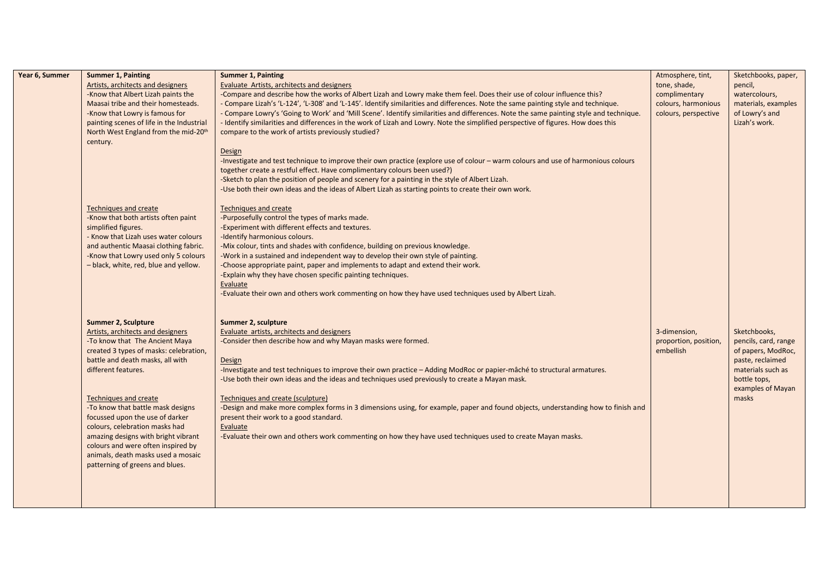| Year 6, Summer | <b>Summer 1, Painting</b>                        | <b>Summer 1, Painting</b>                                                                                                              | Atmosphere, tint,     | Sketchbooks, paper,        |
|----------------|--------------------------------------------------|----------------------------------------------------------------------------------------------------------------------------------------|-----------------------|----------------------------|
|                | Artists, architects and designers                | <b>Evaluate Artists, architects and designers</b>                                                                                      | tone, shade,          | pencil,                    |
|                | -Know that Albert Lizah paints the               | -Compare and describe how the works of Albert Lizah and Lowry make them feel. Does their use of colour influence this?                 | complimentary         | watercolours,              |
|                | Maasai tribe and their homesteads.               | - Compare Lizah's 'L-124', 'L-308' and 'L-145'. Identify similarities and differences. Note the same painting style and technique.     | colours, harmonious   | materials, examples        |
|                | -Know that Lowry is famous for                   | - Compare Lowry's 'Going to Work' and 'Mill Scene'. Identify similarities and differences. Note the same painting style and technique. | colours, perspective  | of Lowry's and             |
|                | painting scenes of life in the Industrial        | - Identify similarities and differences in the work of Lizah and Lowry. Note the simplified perspective of figures. How does this      |                       | Lizah's work.              |
|                | North West England from the mid-20 <sup>th</sup> | compare to the work of artists previously studied?                                                                                     |                       |                            |
|                | century.                                         |                                                                                                                                        |                       |                            |
|                |                                                  | <b>Design</b>                                                                                                                          |                       |                            |
|                |                                                  | -Investigate and test technique to improve their own practice (explore use of colour - warm colours and use of harmonious colours      |                       |                            |
|                |                                                  | together create a restful effect. Have complimentary colours been used?)                                                               |                       |                            |
|                |                                                  | -Sketch to plan the position of people and scenery for a painting in the style of Albert Lizah.                                        |                       |                            |
|                |                                                  | -Use both their own ideas and the ideas of Albert Lizah as starting points to create their own work.                                   |                       |                            |
|                | <b>Techniques and create</b>                     | <b>Techniques and create</b>                                                                                                           |                       |                            |
|                | -Know that both artists often paint              | -Purposefully control the types of marks made.                                                                                         |                       |                            |
|                | simplified figures.                              | Experiment with different effects and textures.                                                                                        |                       |                            |
|                | - Know that Lizah uses water colours             | -Identify harmonious colours.                                                                                                          |                       |                            |
|                | and authentic Maasai clothing fabric.            | -Mix colour, tints and shades with confidence, building on previous knowledge.                                                         |                       |                            |
|                | -Know that Lowry used only 5 colours             | -Work in a sustained and independent way to develop their own style of painting.                                                       |                       |                            |
|                | - black, white, red, blue and yellow.            | -Choose appropriate paint, paper and implements to adapt and extend their work.                                                        |                       |                            |
|                |                                                  | -Explain why they have chosen specific painting techniques.                                                                            |                       |                            |
|                |                                                  | Evaluate                                                                                                                               |                       |                            |
|                |                                                  | -Evaluate their own and others work commenting on how they have used techniques used by Albert Lizah.                                  |                       |                            |
|                | <b>Summer 2, Sculpture</b>                       | Summer 2, sculpture                                                                                                                    |                       |                            |
|                | Artists, architects and designers                | Evaluate artists, architects and designers                                                                                             | 3-dimension,          | Sketchbooks,               |
|                | -To know that The Ancient Maya                   | -Consider then describe how and why Mayan masks were formed.                                                                           | proportion, position, | pencils, card, range       |
|                | created 3 types of masks: celebration,           |                                                                                                                                        | embellish             | of papers, ModRoc,         |
|                | battle and death masks, all with                 | Design                                                                                                                                 |                       | paste, reclaimed           |
|                | different features.                              | -Investigate and test techniques to improve their own practice - Adding ModRoc or papier-mâché to structural armatures.                |                       | materials such as          |
|                |                                                  | -Use both their own ideas and the ideas and techniques used previously to create a Mayan mask.                                         |                       | bottle tops,               |
|                | <b>Techniques and create</b>                     | Techniques and create (sculpture)                                                                                                      |                       | examples of Mayan<br>masks |
|                | -To know that battle mask designs                | -Design and make more complex forms in 3 dimensions using, for example, paper and found objects, understanding how to finish and       |                       |                            |
|                | focussed upon the use of darker                  | present their work to a good standard.                                                                                                 |                       |                            |
|                | colours, celebration masks had                   | Evaluate                                                                                                                               |                       |                            |
|                | amazing designs with bright vibrant              | -Evaluate their own and others work commenting on how they have used techniques used to create Mayan masks.                            |                       |                            |
|                | colours and were often inspired by               |                                                                                                                                        |                       |                            |
|                | animals, death masks used a mosaic               |                                                                                                                                        |                       |                            |
|                | patterning of greens and blues.                  |                                                                                                                                        |                       |                            |
|                |                                                  |                                                                                                                                        |                       |                            |
|                |                                                  |                                                                                                                                        |                       |                            |
|                |                                                  |                                                                                                                                        |                       |                            |
|                |                                                  |                                                                                                                                        |                       |                            |